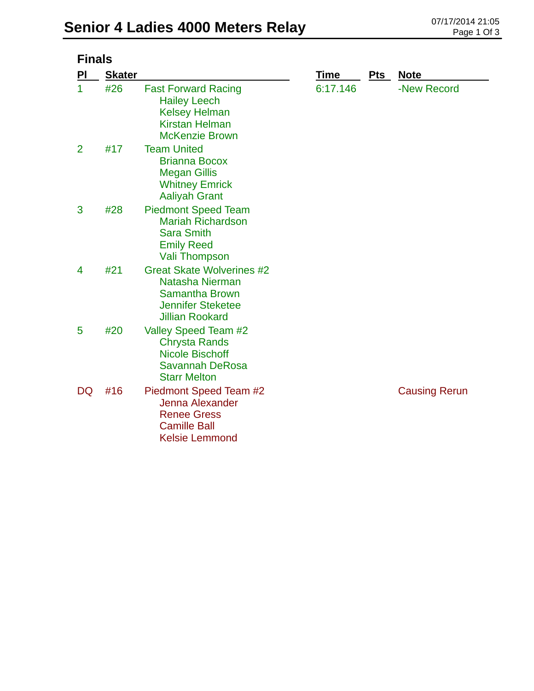| <b>Finals</b>  |               |                                                                                                                                    |          |     |                      |
|----------------|---------------|------------------------------------------------------------------------------------------------------------------------------------|----------|-----|----------------------|
| ΡI             | <b>Skater</b> |                                                                                                                                    | Time     | Pts | <b>Note</b>          |
| 1              | #26           | <b>Fast Forward Racing</b><br><b>Hailey Leech</b><br><b>Kelsey Helman</b><br><b>Kirstan Helman</b><br><b>McKenzie Brown</b>        | 6:17.146 |     | -New Record          |
| $\overline{2}$ | #17           | <b>Team United</b><br><b>Brianna Bocox</b><br><b>Megan Gillis</b><br><b>Whitney Emrick</b><br><b>Aaliyah Grant</b>                 |          |     |                      |
| 3              | #28           | <b>Piedmont Speed Team</b><br><b>Mariah Richardson</b><br><b>Sara Smith</b><br><b>Emily Reed</b><br><b>Vali Thompson</b>           |          |     |                      |
| 4              | #21           | <b>Great Skate Wolverines #2</b><br>Natasha Nierman<br><b>Samantha Brown</b><br><b>Jennifer Steketee</b><br><b>Jillian Rookard</b> |          |     |                      |
| 5              | #20           | Valley Speed Team #2<br><b>Chrysta Rands</b><br><b>Nicole Bischoff</b><br><b>Savannah DeRosa</b><br><b>Starr Melton</b>            |          |     |                      |
| DQ             | #16           | Piedmont Speed Team #2<br><b>Jenna Alexander</b><br><b>Renee Gress</b><br><b>Camille Ball</b><br><b>Kelsie Lemmond</b>             |          |     | <b>Causing Rerun</b> |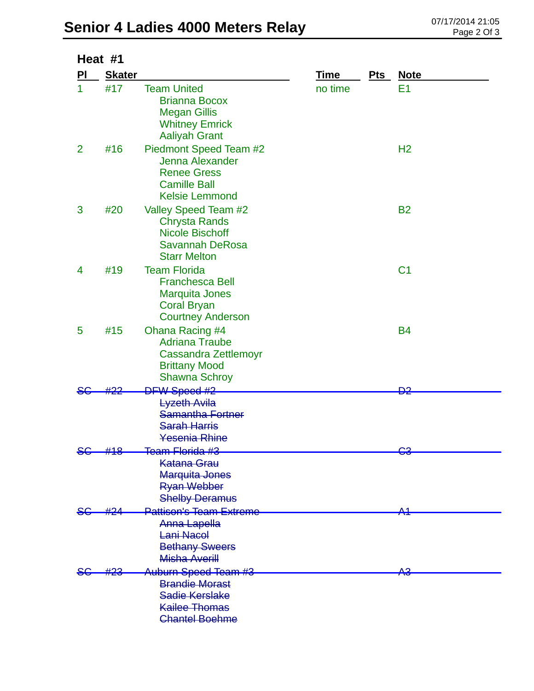## Senior 4 Ladies 4000 Meters Relay **CENTER 1988 21:05** Page 2 Of 3

|                | Heat #1       |                                                                                                                          |             |     |                |  |  |
|----------------|---------------|--------------------------------------------------------------------------------------------------------------------------|-------------|-----|----------------|--|--|
| PI             | <b>Skater</b> |                                                                                                                          | <b>Time</b> | Pts | <b>Note</b>    |  |  |
| 1              | #17           | <b>Team United</b><br><b>Brianna Bocox</b><br><b>Megan Gillis</b><br><b>Whitney Emrick</b><br><b>Aaliyah Grant</b>       | no time     |     | E <sub>1</sub> |  |  |
| $\overline{2}$ | #16           | Piedmont Speed Team #2<br>Jenna Alexander<br><b>Renee Gress</b><br><b>Camille Ball</b><br><b>Kelsie Lemmond</b>          |             |     | H <sub>2</sub> |  |  |
| 3              | #20           | Valley Speed Team #2<br><b>Chrysta Rands</b><br><b>Nicole Bischoff</b><br><b>Savannah DeRosa</b><br><b>Starr Melton</b>  |             |     | <b>B2</b>      |  |  |
| 4              | #19           | <b>Team Florida</b><br><b>Franchesca Bell</b><br><b>Marquita Jones</b><br><b>Coral Bryan</b><br><b>Courtney Anderson</b> |             |     | C <sub>1</sub> |  |  |
| 5              | #15           | Ohana Racing #4<br><b>Adriana Traube</b><br><b>Cassandra Zettlemoyr</b><br><b>Brittany Mood</b><br><b>Shawna Schroy</b>  |             |     | <b>B4</b>      |  |  |
|                |               | <b>DFW Speed #2</b>                                                                                                      |             |     | <del>D2</del>  |  |  |
|                |               | <b>Lyzeth Avila</b><br><b>Samantha Fortner</b><br><b>Sarah Harris</b><br>Yesenia Rhine                                   |             |     |                |  |  |
|                | #18           | <del>Team Florida #3</del><br><b>Katana Grau</b><br><b>Marquita Jones</b><br><b>Ryan Webber</b><br><b>Shelby Deramus</b> |             |     | မေ             |  |  |
|                |               | <b>Pattison's Team Extreme</b><br>Anna Lapella<br>Lani Nacol<br><b>Bethany Sweers</b><br>Misha Averill                   |             |     |                |  |  |
|                |               | Auburn Speed Team #3<br><b>Brandie Morast</b><br>Sadie Kerslake<br><b>Kailee Thomas</b><br><b>Chantel Boehme</b>         |             |     | <del>A3</del>  |  |  |